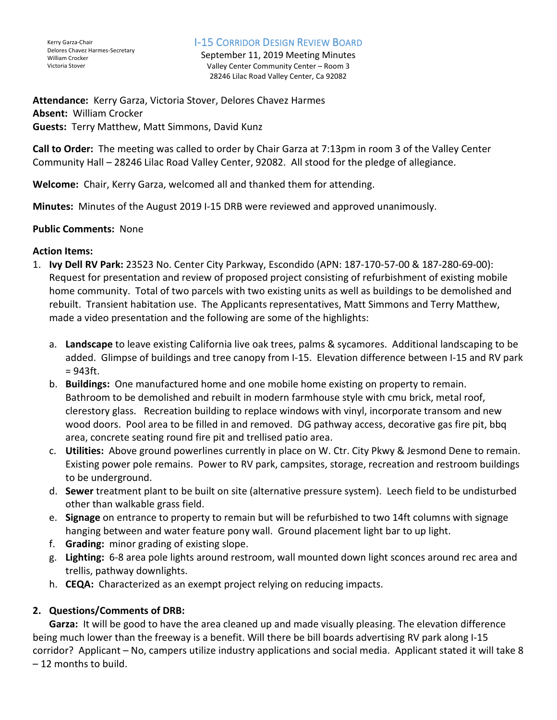#### I-15 CORRIDOR DESIGN REVIEW BOARD

September 11, 2019 Meeting Minutes Valley Center Community Center – Room 3 28246 Lilac Road Valley Center, Ca 92082

**Attendance:** Kerry Garza, Victoria Stover, Delores Chavez Harmes **Absent:** William Crocker **Guests:** Terry Matthew, Matt Simmons, David Kunz

**Call to Order:** The meeting was called to order by Chair Garza at 7:13pm in room 3 of the Valley Center Community Hall – 28246 Lilac Road Valley Center, 92082. All stood for the pledge of allegiance.

**Welcome:** Chair, Kerry Garza, welcomed all and thanked them for attending.

**Minutes:** Minutes of the August 2019 I-15 DRB were reviewed and approved unanimously.

### **Public Comments:** None

### **Action Items:**

- 1. **Ivy Dell RV Park:** 23523 No. Center City Parkway, Escondido (APN: 187-170-57-00 & 187-280-69-00): Request for presentation and review of proposed project consisting of refurbishment of existing mobile home community. Total of two parcels with two existing units as well as buildings to be demolished and rebuilt. Transient habitation use. The Applicants representatives, Matt Simmons and Terry Matthew, made a video presentation and the following are some of the highlights:
	- a. **Landscape** to leave existing California live oak trees, palms & sycamores. Additional landscaping to be added. Glimpse of buildings and tree canopy from I-15. Elevation difference between I-15 and RV park  $= 943 \text{ft}.$
	- b. **Buildings:** One manufactured home and one mobile home existing on property to remain. Bathroom to be demolished and rebuilt in modern farmhouse style with cmu brick, metal roof, clerestory glass. Recreation building to replace windows with vinyl, incorporate transom and new wood doors. Pool area to be filled in and removed. DG pathway access, decorative gas fire pit, bbq area, concrete seating round fire pit and trellised patio area.
	- c. **Utilities:** Above ground powerlines currently in place on W. Ctr. City Pkwy & Jesmond Dene to remain. Existing power pole remains. Power to RV park, campsites, storage, recreation and restroom buildings to be underground.
	- d. **Sewer** treatment plant to be built on site (alternative pressure system). Leech field to be undisturbed other than walkable grass field.
	- e. **Signage** on entrance to property to remain but will be refurbished to two 14ft columns with signage hanging between and water feature pony wall. Ground placement light bar to up light.
	- f. **Grading:** minor grading of existing slope.
	- g. **Lighting:** 6-8 area pole lights around restroom, wall mounted down light sconces around rec area and trellis, pathway downlights.
	- h. **CEQA:** Characterized as an exempt project relying on reducing impacts.

# **2. Questions/Comments of DRB:**

**Garza:** It will be good to have the area cleaned up and made visually pleasing. The elevation difference being much lower than the freeway is a benefit. Will there be bill boards advertising RV park along I-15 corridor? Applicant – No, campers utilize industry applications and social media. Applicant stated it will take 8 – 12 months to build.